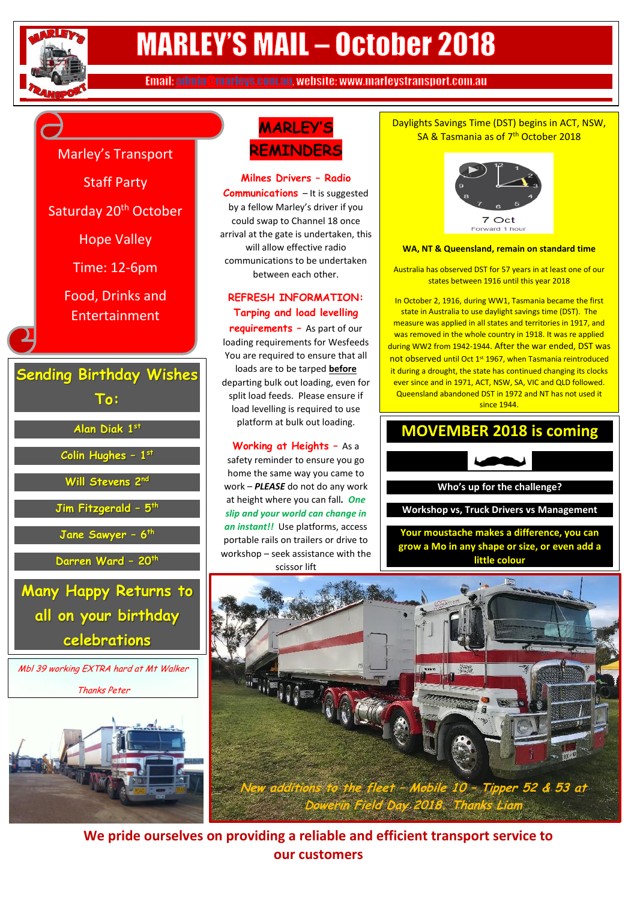

# **MARLEY'S MAIL - October 2018**

Email: admin@marleys.com.au, website: www.marleystransport.com.au

` Marley's Transport

Staff Party

Saturday 20<sup>th</sup> October

Hope Valley

Time: 12-6pm

Food, Drinks and Entertainment

 **Sending Birthday Wishes To:**

**Alan Diak 1st**

**Colin Hughes – 1 st**

**Will Stevens 2nd**

**Jim Fitzgerald – 5 th**

**Jane Sawyer – 6 th**

**Darren Ward – 20th**

**Many Happy Returns to all on your birthday celebrations**

Mbl 39 working EXTRA hard at Mt Walker Thanks Peter



# **MARLEY'S REMINDERS**

**Milnes Drivers – Radio Communications** – It is suggested by a fellow Marley's driver if you could swap to Channel 18 once arrival at the gate is undertaken, this will allow effective radio communications to be undertaken between each other.

### **REFRESH INFORMATION: Tarping and load levelling**

**requirements –** As part of our loading requirements for Wesfeeds You are required to ensure that all loads are to be tarped **before** departing bulk out loading, even for split load feeds. Please ensure if load levelling is required to use platform at bulk out loading.

# **Working at Heights –** As a

safety reminder to ensure you go home the same way you came to work – *PLEASE* do not do any work at height where you can fall*. One slip and your world can change in an instant!!* Use platforms, access portable rails on trailers or drive to workshop – seek assistance with the scissor lift

#### Daylights Savings Time (DST) begins in ACT, NSW, SA & Tasmania as of 7<sup>th</sup> October 2018



#### **WA, NT & Queensland, remain on standard time**

Australia has observed DST for 57 years in at least one of our states between 1916 until this year 2018

In October 2, 1916, during WW1, Tasmania became the first state in Australia to use daylight savings time (DST). The measure was applied in all states and territories in 1917, and was removed in the whole country in 1918. It was re applied during WW2 from 1942-1944. After the war ended, DST was not observed until Oct 1st 1967, when Tasmania reintroduced it during a drought, the state has continued changing its clocks ever since and in 1971, ACT, NSW, SA, VIC and QLD followed. Queensland abandoned DST in 1972 and NT has not used it since 1944.

## **MOVEMBER 2018 is coming**



**Your moustache makes a difference, you can grow a Mo in any shape or size, or even add a little colour**



**We pride ourselves on providing a reliable and efficient transport service to our customers**